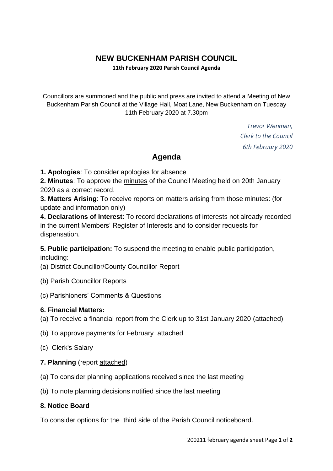# **NEW BUCKENHAM PARISH COUNCIL**

**11th February 2020 Parish Council Agenda**

Councillors are summoned and the public and press are invited to attend a Meeting of New Buckenham Parish Council at the Village Hall, Moat Lane, New Buckenham on Tuesday 11th February 2020 at 7.30pm

> *Trevor Wenman, Clerk to the Council 6th February 2020*

### **Agenda**

**1. Apologies**: To consider apologies for absence

**2. Minutes**: To approve the minutes of the Council Meeting held on 20th January 2020 as a correct record.

**3. Matters Arising**: To receive reports on matters arising from those minutes: (for update and information only)

**4. Declarations of Interest**: To record declarations of interests not already recorded in the current Members' Register of Interests and to consider requests for dispensation.

**5. Public participation:** To suspend the meeting to enable public participation, including:

- (a) District Councillor/County Councillor Report
- (b) Parish Councillor Reports
- (c) Parishioners' Comments & Questions

#### **6. Financial Matters:**

- (a) To receive a financial report from the Clerk up to 31st January 2020 (attached)
- (b) To approve payments for February attached
- (c) Clerk's Salary

#### **7. Planning** (report attached)

- (a) To consider planning applications received since the last meeting
- (b) To note planning decisions notified since the last meeting

#### **8. Notice Board**

To consider options for the third side of the Parish Council noticeboard.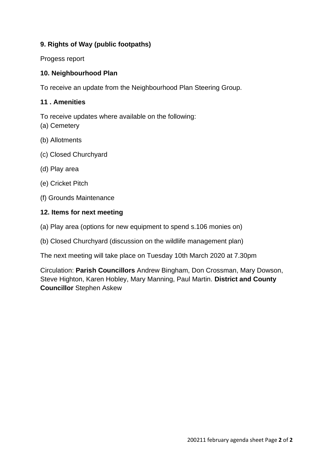#### **9. Rights of Way (public footpaths)**

Progess report

#### **10. Neighbourhood Plan**

To receive an update from the Neighbourhood Plan Steering Group.

#### **11 . Amenities**

To receive updates where available on the following: (a) Cemetery

- (b) Allotments
- (c) Closed Churchyard
- (d) Play area
- (e) Cricket Pitch
- (f) Grounds Maintenance

#### **12. Items for next meeting**

- (a) Play area (options for new equipment to spend s.106 monies on)
- (b) Closed Churchyard (discussion on the wildlife management plan)

The next meeting will take place on Tuesday 10th March 2020 at 7.30pm

Circulation: **Parish Councillors** Andrew Bingham, Don Crossman, Mary Dowson, Steve Highton, Karen Hobley, Mary Manning, Paul Martin. **District and County Councillor** Stephen Askew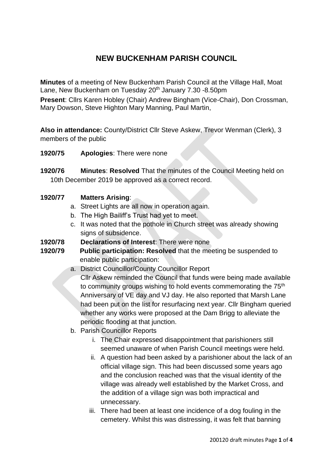## **NEW BUCKENHAM PARISH COUNCIL**

**Minutes** of a meeting of New Buckenham Parish Council at the Village Hall, Moat Lane, New Buckenham on Tuesday 20<sup>th</sup> January 7.30 -8.50pm

**Present**: Cllrs Karen Hobley (Chair) Andrew Bingham (Vice-Chair), Don Crossman, Mary Dowson, Steve Highton Mary Manning, Paul Martin,

**Also in attendance:** County/District Cllr Steve Askew, Trevor Wenman (Clerk), 3 members of the public

**1920/75 Apologies**: There were none

**1920/76 Minutes**: **Resolved** That the minutes of the Council Meeting held on 10th December 2019 be approved as a correct record.

#### **1920/77 Matters Arising**:

- a. Street Lights are all now in operation again.
- b. The High Bailiff's Trust had yet to meet.
- c. It was noted that the pothole in Church street was already showing signs of subsidence.
- **1920/78 Declarations of Interest**: There were none
- **1920/79 Public participation: Resolved** that the meeting be suspended to enable public participation:
	- a. District Councillor/County Councillor Report

Cllr Askew reminded the Council that funds were being made available to community groups wishing to hold events commemorating the 75<sup>th</sup> Anniversary of VE day and VJ day. He also reported that Marsh Lane had been put on the list for resurfacing next year. Cllr Bingham queried whether any works were proposed at the Dam Brigg to alleviate the periodic flooding at that junction.

- b. Parish Councillor Reports
	- i. The Chair expressed disappointment that parishioners still seemed unaware of when Parish Council meetings were held.
	- ii. A question had been asked by a parishioner about the lack of an official village sign. This had been discussed some years ago and the conclusion reached was that the visual identity of the village was already well established by the Market Cross, and the addition of a village sign was both impractical and unnecessary.
	- iii. There had been at least one incidence of a dog fouling in the cemetery. Whilst this was distressing, it was felt that banning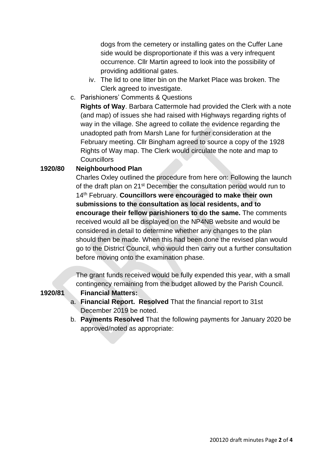dogs from the cemetery or installing gates on the Cuffer Lane side would be disproportionate if this was a very infrequent occurrence. Cllr Martin agreed to look into the possibility of providing additional gates.

- iv. The lid to one litter bin on the Market Place was broken. The Clerk agreed to investigate.
- c. Parishioners' Comments & Questions

**Rights of Way**. Barbara Cattermole had provided the Clerk with a note (and map) of issues she had raised with Highways regarding rights of way in the village. She agreed to collate the evidence regarding the unadopted path from Marsh Lane for further consideration at the February meeting. Cllr Bingham agreed to source a copy of the 1928 Rights of Way map. The Clerk would circulate the note and map to **Councillors** 

#### **1920/80 Neighbourhood Plan**

Charles Oxley outlined the procedure from here on: Following the launch of the draft plan on 21st December the consultation period would run to 14th February. **Councillors were encouraged to make their own submissions to the consultation as local residents, and to encourage their fellow parishioners to do the same.** The comments received would all be displayed on the NP4NB website and would be considered in detail to determine whether any changes to the plan should then be made. When this had been done the revised plan would go to the District Council, who would then carry out a further consultation before moving onto the examination phase.

The grant funds received would be fully expended this year, with a small contingency remaining from the budget allowed by the Parish Council.

- **1920/81 Financial Matters:** 
	- a. **Financial Report. Resolved** That the financial report to 31st December 2019 be noted.
	- b. **Payments Resolved** That the following payments for January 2020 be approved/noted as appropriate: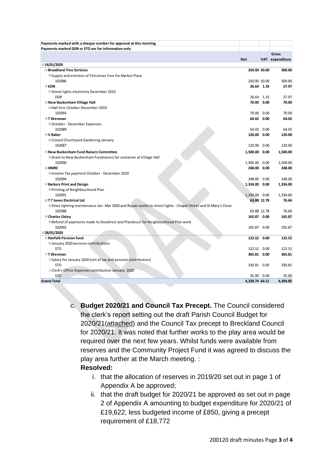| Payments marked with a cheque number for approval at this meeting                                                     |                |             |                 |
|-----------------------------------------------------------------------------------------------------------------------|----------------|-------------|-----------------|
| Payments marked DDR or STO are for information only                                                                   |                |             |                 |
|                                                                                                                       |                |             | Gross           |
|                                                                                                                       | <b>Net</b>     |             | VAT expenditure |
| $\Xi$ 14/01/2020                                                                                                      |                |             |                 |
| <b>□ Broadland Tree Services</b>                                                                                      | 250.00 50.00   |             | 300.00          |
| <b>■Supply and erection of Christmas Tree for Market Place</b>                                                        |                |             |                 |
| 102086                                                                                                                | 250.00 50.00   |             | 300.00          |
| <b>EEON</b>                                                                                                           |                | 26.64 1.33  | 27.97           |
| <b>■Street lights electricity December 2019</b>                                                                       |                |             |                 |
| <b>DDR</b>                                                                                                            |                | 26.64 1.33  | 27.97           |
| <b>ENew Buckenham Village Hall</b>                                                                                    | 70.00          | 0.00        | 70.00           |
| ■Hall hire October-December 2019                                                                                      |                |             |                 |
| 102093                                                                                                                |                | 70.00 0.00  | 70.00           |
| <b>ET Wenman</b>                                                                                                      |                | 64.02 0.00  | 64.02           |
| <b>□October - December Expenses</b>                                                                                   |                |             |                 |
| 102089                                                                                                                |                | 64.02 0.00  | 64.02           |
| <b>EV Baker</b>                                                                                                       | 120.00 0.00    |             | 120.00          |
| <b>□ Closed Churchyard Gardening January</b>                                                                          |                |             |                 |
| 102087                                                                                                                | 120.00 0.00    |             | 120.00          |
| <b>E</b> New Buckenham Fund Raisers Committee                                                                         | 1,500.00 0.00  |             | 1,500.00        |
| □ Grant to New Buckenham Fundraisers for container at Village Hall                                                    |                |             |                 |
| 102090                                                                                                                | 1,500.00 0.00  |             | 1,500.00        |
| <b>EHMRC</b>                                                                                                          | 248.00         | 0.00        | 248.00          |
| □Income Tax payment October - December 2019                                                                           |                |             |                 |
| 102094                                                                                                                | 248.00         | 0.00        | 248.00          |
| <b>Barkers Print and Design</b>                                                                                       | 1,334.00 0.00  |             | 1,334.00        |
| <b>□Printing of Neighbourhood Plan</b>                                                                                |                |             |                 |
| 102091                                                                                                                | 1,334.00 0.00  |             | 1,334.00        |
| <b>□TT Jones Electrical Ltd</b>                                                                                       |                | 63.88 12.78 | 76.66           |
| <b>■Stree lighting maintenance Jan-Mar 2020 and Repair works to street lights - Chapel Street and St Mary's Close</b> |                |             |                 |
| 102088                                                                                                                |                | 63.88 12.78 | 76.66           |
| <b>□ Charles Oxley</b>                                                                                                | 165.87 0.00    |             | 165.87          |
| <b>□Refund of payments made to Doxdirect and Plandescil for Neighbourhood Plan work</b>                               |                |             |                 |
| 102092                                                                                                                | 165.87 0.00    |             | 165.87          |
| ■28/01/2020                                                                                                           |                |             |                 |
| <b>E</b> Norfolk Pension fund                                                                                         | 122.52 0.00    |             | 122.52          |
| <b>EJanuary 2020 pension contributions</b>                                                                            |                |             |                 |
| <b>STO</b>                                                                                                            | 122.52 0.00    |             | 122.52          |
| $\boxdot$ Wenman                                                                                                      | 365.81 0.00    |             | 365.81          |
| ESalary for January 2020 (net of tax and pension contribution)                                                        |                |             |                 |
| <b>STO</b>                                                                                                            | 330.81 0.00    |             | 330.81          |
| □Clerk's Office Expenses contribution January 2020                                                                    |                |             |                 |
| <b>STO</b>                                                                                                            | 35.00          | 0.00        | 35.00           |
| <b>Grand Total</b>                                                                                                    | 4,330.74 64.11 |             | 4,394.85        |

c. **Budget 2020/21 and Council Tax Precept.** The Council considered the clerk's report setting out the draft Parish Council Budget for 2020/21(attached) and the Council Tax precept to Breckland Council for 2020/21. It was noted that further works to the play area would be required over the next few years. Whilst funds were available from reserves and the Community Project Fund it was agreed to discuss the play area further at the March meeting. :

#### **Resolved:**

- i. that the allocation of reserves in 2019/20 set out in page 1 of Appendix A be approved;
- ii. that the draft budget for 2020/21 be approved as set out in page 2 of Appendix A amounting to budget expenditure for 2020/21 of £19,622, less budgeted income of £850, giving a precept requirement of £18,772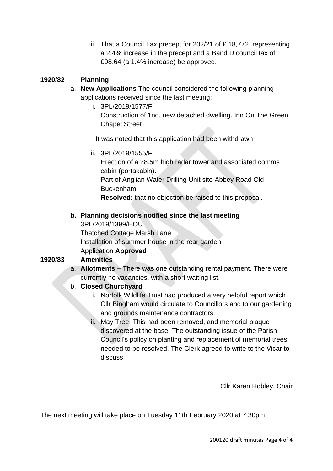iii. That a Council Tax precept for 202/21 of £ 18,772, representing a 2.4% increase in the precept and a Band D council tax of £98.64 (a 1.4% increase) be approved.

#### **1920/82 Planning**

- a. **New Applications** The council considered the following planning applications received since the last meeting:
	- i. 3PL/2019/1577/F Construction of 1no. new detached dwelling. Inn On The Green Chapel Street

It was noted that this application had been withdrawn

ii. 3PL/2019/1555/F

Erection of a 28.5m high radar tower and associated comms cabin (portakabin). Part of Anglian Water Drilling Unit site Abbey Road Old Buckenham **Resolved:** that no objection be raised to this proposal.

#### **b. Planning decisions notified since the last meeting**

3PL/2019/1399/HOU Thatched Cottage Marsh Lane Installation of summer house in the rear garden Application **Approved**

#### **1920/83 Amenities**

a. **Allotments –** There was one outstanding rental payment. There were currently no vacancies, with a short waiting list.

#### b. **Closed Churchyard**

- i. Norfolk Wildlife Trust had produced a very helpful report which Cllr Bingham would circulate to Councillors and to our gardening and grounds maintenance contractors.
- ii. May Tree. This had been removed, and memorial plaque discovered at the base. The outstanding issue of the Parish Council's policy on planting and replacement of memorial trees needed to be resolved. The Clerk agreed to write to the Vicar to discuss.

Cllr Karen Hobley, Chair

The next meeting will take place on Tuesday 11th February 2020 at 7.30pm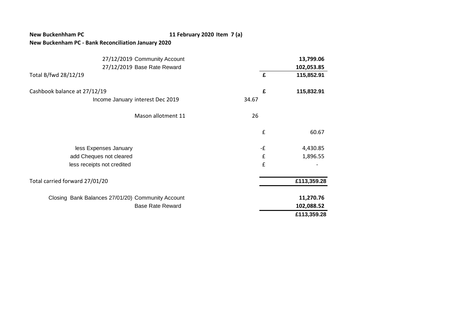#### **New Buckenhham PC 11 February 2020 Item 7 (a)**

#### **New Buckenham PC - Bank Reconciliation January 2020**

| 27/12/2019 Community Account                      |               | 13,799.06   |
|---------------------------------------------------|---------------|-------------|
| 27/12/2019 Base Rate Reward                       |               | 102,053.85  |
| Total B/fwd 28/12/19                              | £             | 115,852.91  |
| Cashbook balance at 27/12/19                      | £             | 115,832.91  |
| Income January interest Dec 2019                  | 34.67         |             |
| Mason allotment 11                                | 26            |             |
|                                                   | £             | 60.67       |
| less Expenses January                             | - $\mathbf f$ | 4,430.85    |
| add Cheques not cleared                           | £             | 1,896.55    |
| less receipts not credited                        | £             |             |
| Total carried forward 27/01/20                    |               | £113,359.28 |
| Closing Bank Balances 27/01/20) Community Account |               | 11,270.76   |
| <b>Base Rate Reward</b>                           |               | 102,088.52  |
|                                                   |               | £113,359.28 |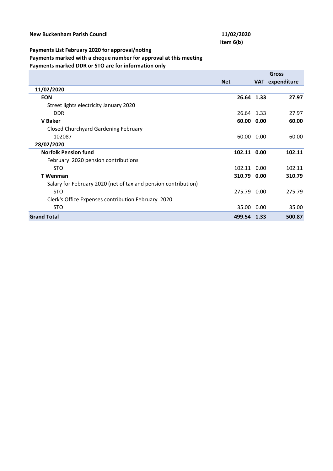# **Item 6(b)**

#### **Payments List February 2020 for approval/noting**

**Payments marked with a cheque number for approval at this meeting** 

**Payments marked DDR or STO are for information only**

|                                                                |             | <b>Gross</b> |                 |
|----------------------------------------------------------------|-------------|--------------|-----------------|
|                                                                | <b>Net</b>  |              | VAT expenditure |
| 11/02/2020                                                     |             |              |                 |
| <b>EON</b>                                                     | 26.64 1.33  |              | 27.97           |
| Street lights electricity January 2020                         |             |              |                 |
| <b>DDR</b>                                                     | 26.64 1.33  |              | 27.97           |
| <b>V</b> Baker                                                 | 60.00 0.00  |              | 60.00           |
| <b>Closed Churchyard Gardening February</b>                    |             |              |                 |
| 102087                                                         | 60.00 0.00  |              | 60.00           |
| 28/02/2020                                                     |             |              |                 |
| <b>Norfolk Pension fund</b>                                    | 102.11 0.00 |              | 102.11          |
| February 2020 pension contributions                            |             |              |                 |
| <b>STO</b>                                                     | 102.11 0.00 |              | 102.11          |
| T Wenman                                                       | 310.79 0.00 |              | 310.79          |
| Salary for February 2020 (net of tax and pension contribution) |             |              |                 |
| <b>STO</b>                                                     | 275.79 0.00 |              | 275.79          |
| Clerk's Office Expenses contribution February 2020             |             |              |                 |
| <b>STO</b>                                                     | 35.00 0.00  |              | 35.00           |
| <b>Grand Total</b>                                             | 499.54 1.33 |              | 500.87          |